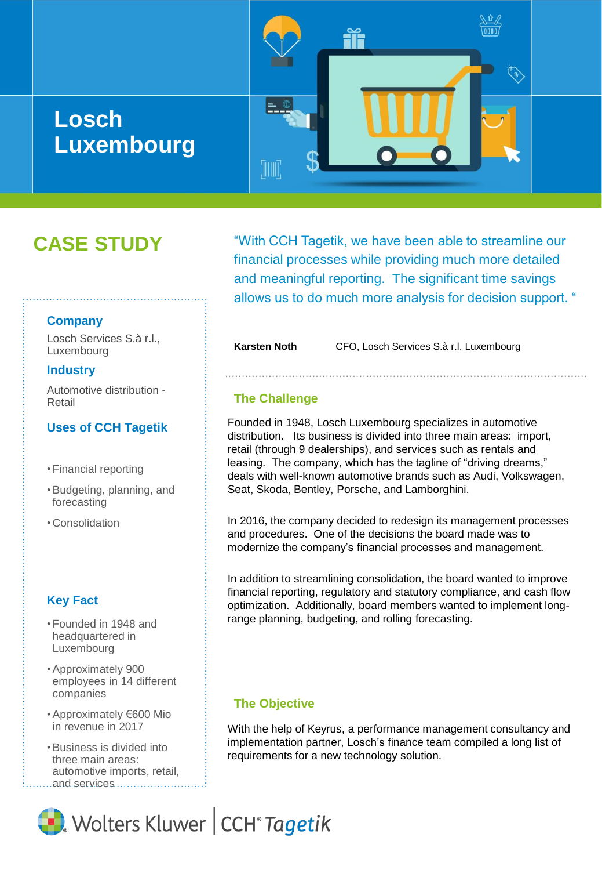# **Losch Luxembourg**

"With CCH Tagetik, we have been able to streamline our financial processes while providing much more detailed and meaningful reporting. The significant time savings allows us to do much more analysis for decision support. "

**Karsten Noth** CFO, Losch Services S.à r.l. Luxembourg

#### **The Challenge**

'III III'.

Founded in 1948, Losch Luxembourg specializes in automotive distribution. Its business is divided into three main areas: import, retail (through 9 dealerships), and services such as rentals and leasing. The company, which has the tagline of "driving dreams," deals with well-known automotive brands such as Audi, Volkswagen, Seat, Skoda, Bentley, Porsche, and Lamborghini.

In 2016, the company decided to redesign its management processes and procedures. One of the decisions the board made was to modernize the company's financial processes and management.

In addition to streamlining consolidation, the board wanted to improve financial reporting, regulatory and statutory compliance, and cash flow optimization. Additionally, board members wanted to implement longrange planning, budgeting, and rolling forecasting.

#### **The Objective**

With the help of Keyrus, a performance management consultancy and implementation partner, Losch's finance team compiled a long list of requirements for a new technology solution.

#### **Company**

Losch Services S.à r.l., Luxembourg

**CASE STUDY**

#### **Industry**

Automotive distribution - Retail

#### **Uses of CCH Tagetik**

- Financial reporting
- •Budgeting, planning, and forecasting
- Consolidation

#### **Key Fact**

- Founded in 1948 and headquartered in Luxembourg
- •Approximately 900 employees in 14 different companies
- •Approximately €600 Mio in revenue in 2017
- •Business is divided into three main areas: automotive imports, retail, ...and services...........

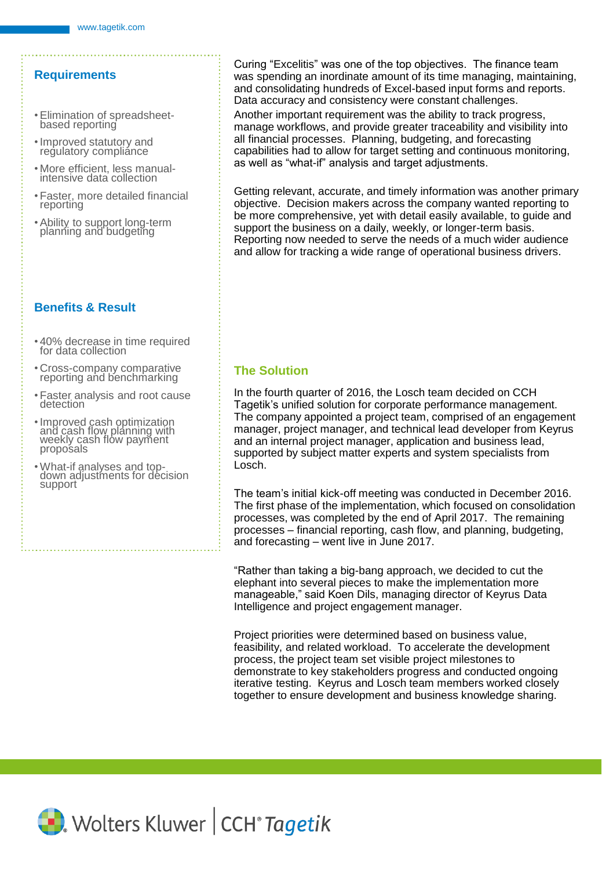### **Requirements**

- •Elimination of spreadsheetbased reporting
- •Improved statutory and regulatory compliance
- More efficient, less manualintensive data collection
- Faster, more detailed financial reporting
- •Ability to support long-term planning and budgeting

### **Benefits & Result**

- 40% decrease in time required for data collection
- Cross-company comparative reporting and benchmarking
- Faster analysis and root cause detection
- •Improved cash optimization and cash flow planning with weekly cash flow payment proposals
- •What-if analyses and topdown adjustments for decision support

Curing "Excelitis" was one of the top objectives. The finance team was spending an inordinate amount of its time managing, maintaining, and consolidating hundreds of Excel-based input forms and reports. Data accuracy and consistency were constant challenges.

Another important requirement was the ability to track progress, manage workflows, and provide greater traceability and visibility into all financial processes. Planning, budgeting, and forecasting capabilities had to allow for target setting and continuous monitoring, as well as "what-if" analysis and target adjustments.

Getting relevant, accurate, and timely information was another primary objective. Decision makers across the company wanted reporting to be more comprehensive, yet with detail easily available, to guide and support the business on a daily, weekly, or longer-term basis. Reporting now needed to serve the needs of a much wider audience and allow for tracking a wide range of operational business drivers.

# **The Solution**

In the fourth quarter of 2016, the Losch team decided on CCH Tagetik's unified solution for corporate performance management. The company appointed a project team, comprised of an engagement manager, project manager, and technical lead developer from Keyrus and an internal project manager, application and business lead, supported by subject matter experts and system specialists from Losch.

The team's initial kick-off meeting was conducted in December 2016. The first phase of the implementation, which focused on consolidation processes, was completed by the end of April 2017. The remaining processes – financial reporting, cash flow, and planning, budgeting, and forecasting – went live in June 2017.

"Rather than taking a big-bang approach, we decided to cut the elephant into several pieces to make the implementation more manageable," said Koen Dils, managing director of Keyrus Data Intelligence and project engagement manager.

Project priorities were determined based on business value, feasibility, and related workload. To accelerate the development process, the project team set visible project milestones to demonstrate to key stakeholders progress and conducted ongoing iterative testing. Keyrus and Losch team members worked closely together to ensure development and business knowledge sharing.